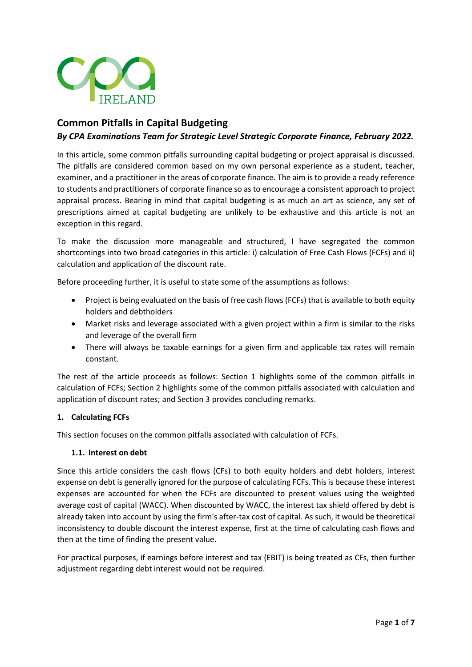

# **Common Pitfalls in Capital Budgeting**

# *By CPA Examinations Team for Strategic Level Strategic Corporate Finance, February 2022.*

In this article, some common pitfalls surrounding capital budgeting or project appraisal is discussed. The pitfalls are considered common based on my own personal experience as a student, teacher, examiner, and a practitioner in the areas of corporate finance. The aim is to provide a ready reference to students and practitioners of corporate finance so as to encourage a consistent approach to project appraisal process. Bearing in mind that capital budgeting is as much an art as science, any set of prescriptions aimed at capital budgeting are unlikely to be exhaustive and this article is not an exception in this regard.

To make the discussion more manageable and structured, I have segregated the common shortcomings into two broad categories in this article: i) calculation of Free Cash Flows (FCFs) and ii) calculation and application of the discount rate.

Before proceeding further, it is useful to state some of the assumptions as follows:

- Project is being evaluated on the basis of free cash flows (FCFs) that is available to both equity holders and debtholders
- Market risks and leverage associated with a given project within a firm is similar to the risks and leverage of the overall firm
- There will always be taxable earnings for a given firm and applicable tax rates will remain constant.

The rest of the article proceeds as follows: Section 1 highlights some of the common pitfalls in calculation of FCFs; Section 2 highlights some of the common pitfalls associated with calculation and application of discount rates; and Section 3 provides concluding remarks.

#### **1. Calculating FCFs**

This section focuses on the common pitfalls associated with calculation of FCFs.

#### **1.1. Interest on debt**

Since this article considers the cash flows (CFs) to both equity holders and debt holders, interest expense on debt is generally ignored for the purpose of calculating FCFs. This is because these interest expenses are accounted for when the FCFs are discounted to present values using the weighted average cost of capital (WACC). When discounted by WACC, the interest tax shield offered by debt is already taken into account by using the firm's after-tax cost of capital. As such, it would be theoretical inconsistency to double discount the interest expense, first at the time of calculating cash flows and then at the time of finding the present value.

For practical purposes, if earnings before interest and tax (EBIT) is being treated as CFs, then further adjustment regarding debt interest would not be required.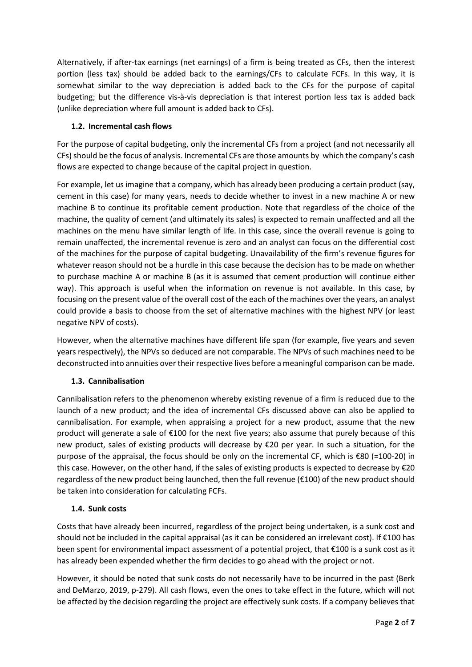Alternatively, if after-tax earnings (net earnings) of a firm is being treated as CFs, then the interest portion (less tax) should be added back to the earnings/CFs to calculate FCFs. In this way, it is somewhat similar to the way depreciation is added back to the CFs for the purpose of capital budgeting; but the difference vis-à-vis depreciation is that interest portion less tax is added back (unlike depreciation where full amount is added back to CFs).

### **1.2. Incremental cash flows**

For the purpose of capital budgeting, only the incremental CFs from a project (and not necessarily all CFs) should be the focus of analysis. Incremental CFs are those amounts by which the company's cash flows are expected to change because of the capital project in question.

For example, let us imagine that a company, which has already been producing a certain product (say, cement in this case) for many years, needs to decide whether to invest in a new machine A or new machine B to continue its profitable cement production. Note that regardless of the choice of the machine, the quality of cement (and ultimately its sales) is expected to remain unaffected and all the machines on the menu have similar length of life. In this case, since the overall revenue is going to remain unaffected, the incremental revenue is zero and an analyst can focus on the differential cost of the machines for the purpose of capital budgeting. Unavailability of the firm's revenue figures for whatever reason should not be a hurdle in this case because the decision has to be made on whether to purchase machine A or machine B (as it is assumed that cement production will continue either way). This approach is useful when the information on revenue is not available. In this case, by focusing on the present value of the overall cost of the each of the machines over the years, an analyst could provide a basis to choose from the set of alternative machines with the highest NPV (or least negative NPV of costs).

However, when the alternative machines have different life span (for example, five years and seven years respectively), the NPVs so deduced are not comparable. The NPVs of such machines need to be deconstructed into annuities over their respective lives before a meaningful comparison can be made.

# **1.3. Cannibalisation**

Cannibalisation refers to the phenomenon whereby existing revenue of a firm is reduced due to the launch of a new product; and the idea of incremental CFs discussed above can also be applied to cannibalisation. For example, when appraising a project for a new product, assume that the new product will generate a sale of €100 for the next five years; also assume that purely because of this new product, sales of existing products will decrease by €20 per year. In such a situation, for the purpose of the appraisal, the focus should be only on the incremental CF, which is €80 (=100-20) in this case. However, on the other hand, if the sales of existing products is expected to decrease by €20 regardless of the new product being launched, then the full revenue (€100) of the new product should be taken into consideration for calculating FCFs.

#### **1.4. Sunk costs**

Costs that have already been incurred, regardless of the project being undertaken, is a sunk cost and should not be included in the capital appraisal (as it can be considered an irrelevant cost). If €100 has been spent for environmental impact assessment of a potential project, that €100 is a sunk cost as it has already been expended whether the firm decides to go ahead with the project or not.

However, it should be noted that sunk costs do not necessarily have to be incurred in the past (Berk and DeMarzo, 2019, p-279). All cash flows, even the ones to take effect in the future, which will not be affected by the decision regarding the project are effectively sunk costs. If a company believes that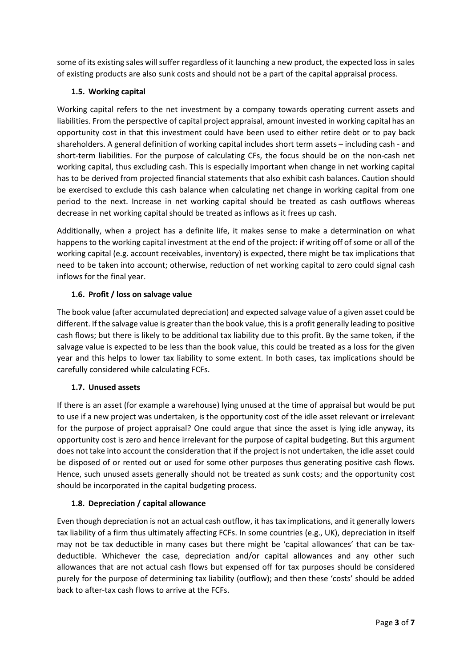some of its existing sales will suffer regardless of it launching a new product, the expected loss in sales of existing products are also sunk costs and should not be a part of the capital appraisal process.

### **1.5. Working capital**

Working capital refers to the net investment by a company towards operating current assets and liabilities. From the perspective of capital project appraisal, amount invested in working capital has an opportunity cost in that this investment could have been used to either retire debt or to pay back shareholders. A general definition of working capital includes short term assets – including cash - and short-term liabilities. For the purpose of calculating CFs, the focus should be on the non-cash net working capital, thus excluding cash. This is especially important when change in net working capital has to be derived from projected financial statements that also exhibit cash balances. Caution should be exercised to exclude this cash balance when calculating net change in working capital from one period to the next. Increase in net working capital should be treated as cash outflows whereas decrease in net working capital should be treated as inflows as it frees up cash.

Additionally, when a project has a definite life, it makes sense to make a determination on what happens to the working capital investment at the end of the project: if writing off of some or all of the working capital (e.g. account receivables, inventory) is expected, there might be tax implications that need to be taken into account; otherwise, reduction of net working capital to zero could signal cash inflows for the final year.

### **1.6. Profit / loss on salvage value**

The book value (after accumulated depreciation) and expected salvage value of a given asset could be different. If the salvage value is greater than the book value, this is a profit generally leading to positive cash flows; but there is likely to be additional tax liability due to this profit. By the same token, if the salvage value is expected to be less than the book value, this could be treated as a loss for the given year and this helps to lower tax liability to some extent. In both cases, tax implications should be carefully considered while calculating FCFs.

#### **1.7. Unused assets**

If there is an asset (for example a warehouse) lying unused at the time of appraisal but would be put to use if a new project was undertaken, is the opportunity cost of the idle asset relevant or irrelevant for the purpose of project appraisal? One could argue that since the asset is lying idle anyway, its opportunity cost is zero and hence irrelevant for the purpose of capital budgeting. But this argument does not take into account the consideration that if the project is not undertaken, the idle asset could be disposed of or rented out or used for some other purposes thus generating positive cash flows. Hence, such unused assets generally should not be treated as sunk costs; and the opportunity cost should be incorporated in the capital budgeting process.

#### **1.8. Depreciation / capital allowance**

Even though depreciation is not an actual cash outflow, it has tax implications, and it generally lowers tax liability of a firm thus ultimately affecting FCFs. In some countries (e.g., UK), depreciation in itself may not be tax deductible in many cases but there might be 'capital allowances' that can be taxdeductible. Whichever the case, depreciation and/or capital allowances and any other such allowances that are not actual cash flows but expensed off for tax purposes should be considered purely for the purpose of determining tax liability (outflow); and then these 'costs' should be added back to after-tax cash flows to arrive at the FCFs.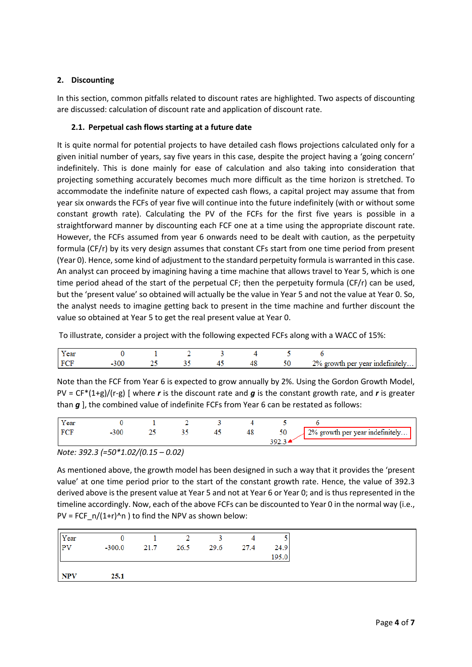### **2. Discounting**

In this section, common pitfalls related to discount rates are highlighted. Two aspects of discounting are discussed: calculation of discount rate and application of discount rate.

### **2.1. Perpetual cash flows starting at a future date**

It is quite normal for potential projects to have detailed cash flows projections calculated only for a given initial number of years, say five years in this case, despite the project having a 'going concern' indefinitely. This is done mainly for ease of calculation and also taking into consideration that projecting something accurately becomes much more difficult as the time horizon is stretched. To accommodate the indefinite nature of expected cash flows, a capital project may assume that from year six onwards the FCFs of year five will continue into the future indefinitely (with or without some constant growth rate). Calculating the PV of the FCFs for the first five years is possible in a straightforward manner by discounting each FCF one at a time using the appropriate discount rate. However, the FCFs assumed from year 6 onwards need to be dealt with caution, as the perpetuity formula (CF/r) by its very design assumes that constant CFs start from one time period from present (Year 0). Hence, some kind of adjustment to the standard perpetuity formula is warranted in this case. An analyst can proceed by imagining having a time machine that allows travel to Year 5, which is one time period ahead of the start of the perpetual CF; then the perpetuity formula (CF/r) can be used, but the 'present value' so obtained will actually be the value in Year 5 and not the value at Year 0. So, the analyst needs to imagine getting back to present in the time machine and further discount the value so obtained at Year 5 to get the real present value at Year 0.

To illustrate, consider a project with the following expected FCFs along with a WACC of 15%:

| Y ear     |  |  |  |                                 |
|-----------|--|--|--|---------------------------------|
| <b>DO</b> |  |  |  | 2% growth per year indefinitely |

Note than the FCF from Year 6 is expected to grow annually by 2%. Using the Gordon Growth Model, PV = CF\*(1+g)/(r-g) [ where *r* is the discount rate and *g* is the constant growth rate, and *r* is greater than *g* ], the combined value of indefinite FCFs from Year 6 can be restated as follows:

| Y ear |  |  |    |               |                                 |
|-------|--|--|----|---------------|---------------------------------|
|       |  |  | 48 | $\sim$ $\sim$ | 2% growth per year indefinitely |
|       |  |  |    |               |                                 |

*Note: 392.3 (=50\*1.02/(0.15 – 0.02)*

As mentioned above, the growth model has been designed in such a way that it provides the 'present value' at one time period prior to the start of the constant growth rate. Hence, the value of 392.3 derived above is the present value at Year 5 and not at Year 6 or Year 0; and is thus represented in the timeline accordingly. Now, each of the above FCFs can be discounted to Year 0 in the normal way (i.e., PV = FCF  $n/(1+r)^n$  ) to find the NPV as shown below:

| Year<br>PV |          | $\sim$ 2       |      |       |
|------------|----------|----------------|------|-------|
|            | $-300.0$ | 21.7 26.5 29.6 | 27.4 | 24.9  |
|            |          |                |      | 195.0 |
|            |          |                |      |       |
| <b>NPV</b> | 25.1     |                |      |       |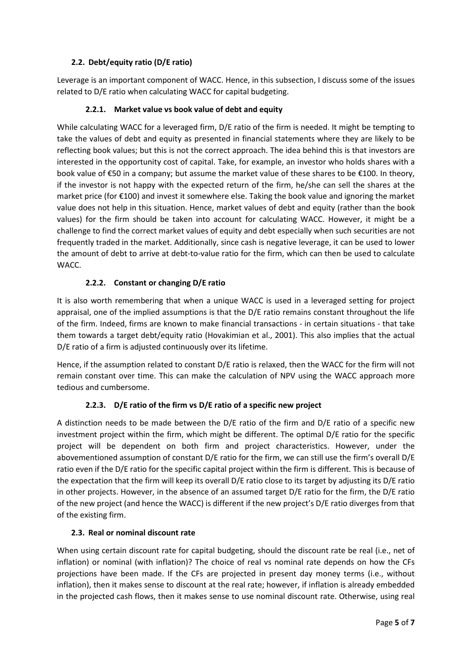## **2.2. Debt/equity ratio (D/E ratio)**

Leverage is an important component of WACC. Hence, in this subsection, I discuss some of the issues related to D/E ratio when calculating WACC for capital budgeting.

### **2.2.1. Market value vs book value of debt and equity**

While calculating WACC for a leveraged firm, D/E ratio of the firm is needed. It might be tempting to take the values of debt and equity as presented in financial statements where they are likely to be reflecting book values; but this is not the correct approach. The idea behind this is that investors are interested in the opportunity cost of capital. Take, for example, an investor who holds shares with a book value of €50 in a company; but assume the market value of these shares to be €100. In theory, if the investor is not happy with the expected return of the firm, he/she can sell the shares at the market price (for €100) and invest it somewhere else. Taking the book value and ignoring the market value does not help in this situation. Hence, market values of debt and equity (rather than the book values) for the firm should be taken into account for calculating WACC. However, it might be a challenge to find the correct market values of equity and debt especially when such securities are not frequently traded in the market. Additionally, since cash is negative leverage, it can be used to lower the amount of debt to arrive at debt-to-value ratio for the firm, which can then be used to calculate WACC.

### **2.2.2. Constant or changing D/E ratio**

It is also worth remembering that when a unique WACC is used in a leveraged setting for project appraisal, one of the implied assumptions is that the D/E ratio remains constant throughout the life of the firm. Indeed, firms are known to make financial transactions - in certain situations - that take them towards a target debt/equity ratio (Hovakimian et al., 2001). This also implies that the actual D/E ratio of a firm is adjusted continuously over its lifetime.

Hence, if the assumption related to constant D/E ratio is relaxed, then the WACC for the firm will not remain constant over time. This can make the calculation of NPV using the WACC approach more tedious and cumbersome.

# **2.2.3. D/E ratio of the firm vs D/E ratio of a specific new project**

A distinction needs to be made between the D/E ratio of the firm and D/E ratio of a specific new investment project within the firm, which might be different. The optimal D/E ratio for the specific project will be dependent on both firm and project characteristics. However, under the abovementioned assumption of constant D/E ratio for the firm, we can still use the firm's overall D/E ratio even if the D/E ratio for the specific capital project within the firm is different. This is because of the expectation that the firm will keep its overall D/E ratio close to its target by adjusting its D/E ratio in other projects. However, in the absence of an assumed target D/E ratio for the firm, the D/E ratio of the new project (and hence the WACC) is different if the new project's D/E ratio diverges from that of the existing firm.

#### **2.3. Real or nominal discount rate**

When using certain discount rate for capital budgeting, should the discount rate be real (i.e., net of inflation) or nominal (with inflation)? The choice of real vs nominal rate depends on how the CFs projections have been made. If the CFs are projected in present day money terms (i.e., without inflation), then it makes sense to discount at the real rate; however, if inflation is already embedded in the projected cash flows, then it makes sense to use nominal discount rate. Otherwise, using real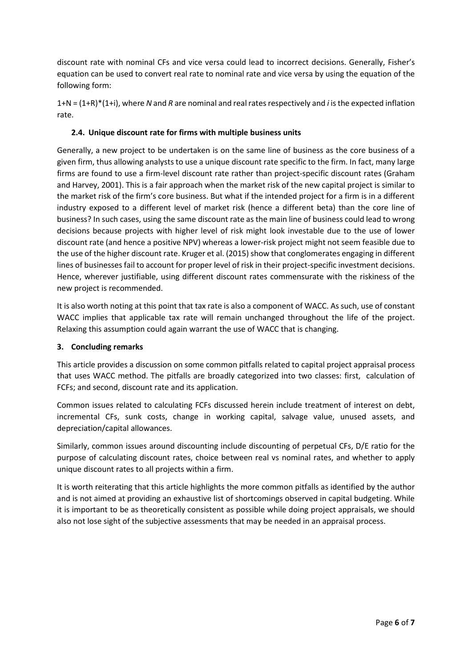discount rate with nominal CFs and vice versa could lead to incorrect decisions. Generally, Fisher's equation can be used to convert real rate to nominal rate and vice versa by using the equation of the following form:

1+N = (1+R)\*(1+i), where *N* and *R* are nominal and real rates respectively and *i* is the expected inflation rate.

#### **2.4. Unique discount rate for firms with multiple business units**

Generally, a new project to be undertaken is on the same line of business as the core business of a given firm, thus allowing analysts to use a unique discount rate specific to the firm. In fact, many large firms are found to use a firm-level discount rate rather than project-specific discount rates (Graham and Harvey, 2001). This is a fair approach when the market risk of the new capital project is similar to the market risk of the firm's core business. But what if the intended project for a firm is in a different industry exposed to a different level of market risk (hence a different beta) than the core line of business? In such cases, using the same discount rate as the main line of business could lead to wrong decisions because projects with higher level of risk might look investable due to the use of lower discount rate (and hence a positive NPV) whereas a lower-risk project might not seem feasible due to the use of the higher discount rate. Kruger et al. (2015) show that conglomerates engaging in different lines of businesses fail to account for proper level of risk in their project-specific investment decisions. Hence, wherever justifiable, using different discount rates commensurate with the riskiness of the new project is recommended.

It is also worth noting at this point that tax rate is also a component of WACC. As such, use of constant WACC implies that applicable tax rate will remain unchanged throughout the life of the project. Relaxing this assumption could again warrant the use of WACC that is changing.

#### **3. Concluding remarks**

This article provides a discussion on some common pitfalls related to capital project appraisal process that uses WACC method. The pitfalls are broadly categorized into two classes: first, calculation of FCFs; and second, discount rate and its application.

Common issues related to calculating FCFs discussed herein include treatment of interest on debt, incremental CFs, sunk costs, change in working capital, salvage value, unused assets, and depreciation/capital allowances.

Similarly, common issues around discounting include discounting of perpetual CFs, D/E ratio for the purpose of calculating discount rates, choice between real vs nominal rates, and whether to apply unique discount rates to all projects within a firm.

It is worth reiterating that this article highlights the more common pitfalls as identified by the author and is not aimed at providing an exhaustive list of shortcomings observed in capital budgeting. While it is important to be as theoretically consistent as possible while doing project appraisals, we should also not lose sight of the subjective assessments that may be needed in an appraisal process.